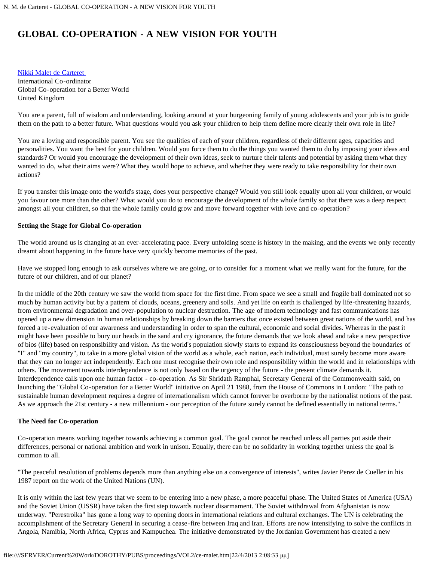# **GLOBAL CO-OPERATION - A NEW VISION FOR YOUTH**

[Nikki Malet de Carteret](#page-6-0)  International Co-ordinator Global Co-operation for a Better World United Kingdom

You are a parent, full of wisdom and understanding, looking around at your burgeoning family of young adolescents and your job is to guide them on the path to a better future. What questions would you ask your children to help them define more clearly their own role in life?

You are a loving and responsible parent. You see the qualities of each of your children, regardless of their different ages, capacities and personalities. You want the best for your children. Would you force them to do the things you wanted them to do by imposing your ideas and standards? Or would you encourage the development of their own ideas, seek to nurture their talents and potential by asking them what they wanted to do, what their aims were? What they would hope to achieve, and whether they were ready to take responsibility for their own actions?

If you transfer this image onto the world's stage, does your perspective change? Would you still look equally upon all your children, or would you favour one more than the other? What would you do to encourage the development of the whole family so that there was a deep respect amongst all your children, so that the whole family could grow and move forward together with love and co-operation?

#### **Setting the Stage for Global Co-operation**

The world around us is changing at an ever-accelerating pace. Every unfolding scene is history in the making, and the events we only recently dreamt about happening in the future have very quickly become memories of the past.

Have we stopped long enough to ask ourselves where we are going, or to consider for a moment what we really want for the future, for the future of our children, and of our planet?

In the middle of the 20th century we saw the world from space for the first time. From space we see a small and fragile ball dominated not so much by human activity but by a pattern of clouds, oceans, greenery and soils. And yet life on earth is challenged by life-threatening hazards, from environmental degradation and over-population to nuclear destruction. The age of modern technology and fast communications has opened up a new dimension in human relationships by breaking down the barriers that once existed between great nations of the world, and has forced a re-evaluation of our awareness and understanding in order to span the cultural, economic and social divides. Whereas in the past it might have been possible to bury our heads in the sand and cry ignorance, the future demands that we look ahead and take a new perspective of bios (life) based on responsibility and vision. As the world's population slowly starts to expand its consciousness beyond the boundaries of "I" and "my country", to take in a more global vision of the world as a whole, each nation, each individual, must surely become more aware that they can no longer act independently. Each one must recognise their own role and responsibility within the world and in relationships with others. The movement towards interdependence is not only based on the urgency of the future - the present climate demands it. Interdependence calls upon one human factor - co-operation. As Sir Shridath Ramphal, Secretary General of the Commonwealth said, on launching the "Global Co-operation for a Better World" initiative on April 21 1988, from the House of Commons in London: "The path to sustainable human development requires a degree of internationalism which cannot forever be overborne by the nationalist notions of the past. As we approach the 21st century - a new millennium - our perception of the future surely cannot be defined essentially in national terms."

#### **The Need for Co-operation**

Co-operation means working together towards achieving a common goal. The goal cannot be reached unless all parties put aside their differences, personal or national ambition and work in unison. Equally, there can be no solidarity in working together unless the goal is common to all.

"The peaceful resolution of problems depends more than anything else on a convergence of interests", writes Javier Perez de Cueller in his 1987 report on the work of the United Nations (UN).

It is only within the last few years that we seem to be entering into a new phase, a more peaceful phase. The United States of America (USA) and the Soviet Union (USSR) have taken the first step towards nuclear disarmament. The Soviet withdrawal from Afghanistan is now underway. "Perestroika" has gone a long way to opening doors in international relations and cultural exchanges. The UN is celebrating the accomplishment of the Secretary General in securing a cease-fire between Iraq and Iran. Efforts are now intensifying to solve the conflicts in Angola, Namibia, North Africa, Cyprus and Kampuchea. The initiative demonstrated by the Jordanian Government has created a new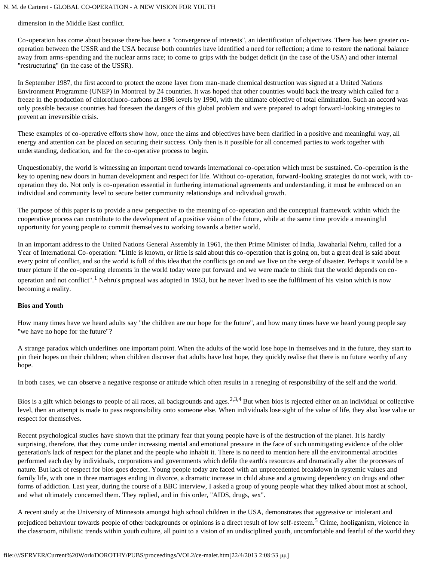dimension in the Middle East conflict.

Co-operation has come about because there has been a "convergence of interests", an identification of objectives. There has been greater cooperation between the USSR and the USA because both countries have identified a need for reflection; a time to restore the national balance away from arms-spending and the nuclear arms race; to come to grips with the budget deficit (in the case of the USA) and other internal "restructuring" (in the case of the USSR).

In September 1987, the first accord to protect the ozone layer from man-made chemical destruction was signed at a United Nations Environment Programme (UNEP) in Montreal by 24 countries. It was hoped that other countries would back the treaty which called for a freeze in the production of chlorofluoro-carbons at 1986 levels by 1990, with the ultimate objective of total elimination. Such an accord was only possible because countries had foreseen the dangers of this global problem and were prepared to adopt forward-looking strategies to prevent an irreversible crisis.

These examples of co-operative efforts show how, once the aims and objectives have been clarified in a positive and meaningful way, all energy and attention can be placed on securing their success. Only then is it possible for all concerned parties to work together with understanding, dedication, and for the co-operative process to begin.

Unquestionably, the world is witnessing an important trend towards international co-operation which must be sustained. Co-operation is the key to opening new doors in human development and respect for life. Without co-operation, forward-looking strategies do not work, with cooperation they do. Not only is co-operation essential in furthering international agreements and understanding, it must be embraced on an individual and community level to secure better community relationships and individual growth.

The purpose of this paper is to provide a new perspective to the meaning of co-operation and the conceptual framework within which the cooperative process can contribute to the development of a positive vision of the future, while at the same time provide a meaningful opportunity for young people to commit themselves to working towards a better world.

In an important address to the United Nations General Assembly in 1961, the then Prime Minister of India, Jawaharlal Nehru, called for a Year of International Co-operation: "Little is known, or little is said about this co-operation that is going on, but a great deal is said about every point of conflict, and so the world is full of this idea that the conflicts go on and we live on the verge of disaster. Perhaps it would be a truer picture if the co-operating elements in the world today were put forward and we were made to think that the world depends on cooperation and not conflict".<sup>1</sup> Nehru's proposal was adopted in 1963, but he never lived to see the fulfilment of his vision which is now becoming a reality.

#### **Bios and Youth**

How many times have we heard adults say "the children are our hope for the future", and how many times have we heard young people say "we have no hope for the future"?

A strange paradox which underlines one important point. When the adults of the world lose hope in themselves and in the future, they start to pin their hopes on their children; when children discover that adults have lost hope, they quickly realise that there is no future worthy of any hope.

In both cases, we can observe a negative response or attitude which often results in a reneging of responsibility of the self and the world.

Bios is a gift which belongs to people of all races, all backgrounds and ages.<sup>2,3,4</sup> But when bios is rejected either on an individual or collective level, then an attempt is made to pass responsibility onto someone else. When individuals lose sight of the value of life, they also lose value or respect for themselves.

Recent psychological studies have shown that the primary fear that young people have is of the destruction of the planet. It is hardly surprising, therefore, that they come under increasing mental and emotional pressure in the face of such unmitigating evidence of the older generation's lack of respect for the planet and the people who inhabit it. There is no need to mention here all the environmental atrocities performed each day by individuals, corporations and governments which defile the earth's resources and dramatically alter the processes of nature. But lack of respect for bios goes deeper. Young people today are faced with an unprecedented breakdown in systemic values and family life, with one in three marriages ending in divorce, a dramatic increase in child abuse and a growing dependency on drugs and other forms of addiction. Last year, during the course of a BBC interview, I asked a group of young people what they talked about most at school, and what ultimately concerned them. They replied, and in this order, "AIDS, drugs, sex".

A recent study at the University of Minnesota amongst high school children in the USA, demonstrates that aggressive or intolerant and prejudiced behaviour towards people of other backgrounds or opinions is a direct result of low self-esteem.<sup>5</sup> Crime, hooliganism, violence in the classroom, nihilistic trends within youth culture, all point to a vision of an undisciplined youth, uncomfortable and fearful of the world they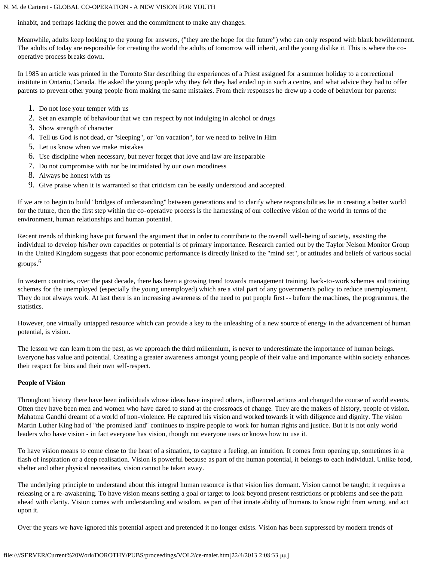inhabit, and perhaps lacking the power and the commitment to make any changes.

Meanwhile, adults keep looking to the young for answers, ("they are the hope for the future") who can only respond with blank bewilderment. The adults of today are responsible for creating the world the adults of tomorrow will inherit, and the young dislike it. This is where the cooperative process breaks down.

In 1985 an article was printed in the Toronto Star describing the experiences of a Priest assigned for a summer holiday to a correctional institute in Ontario, Canada. He asked the young people why they felt they had ended up in such a centre, and what advice they had to offer parents to prevent other young people from making the same mistakes. From their responses he drew up a code of behaviour for parents:

- 1. Do not lose your temper with us
- 2. Set an example of behaviour that we can respect by not indulging in alcohol or drugs
- 3. Show strength of character
- 4. Tell us God is not dead, or "sleeping", or "on vacation", for we need to belive in Him
- 5. Let us know when we make mistakes
- 6. Use discipline when necessary, but never forget that love and law are inseparable
- 7. Do not compromise with nor be intimidated by our own moodiness
- 8. Always be honest with us
- 9. Give praise when it is warranted so that criticism can be easily understood and accepted.

If we are to begin to build "bridges of understanding" between generations and to clarify where responsibilities lie in creating a better world for the future, then the first step within the co-operative process is the harnessing of our collective vision of the world in terms of the environment, human relationships and human potential.

Recent trends of thinking have put forward the argument that in order to contribute to the overall well-being of society, assisting the individual to develop his/her own capacities or potential is of primary importance. Research carried out by the Taylor Nelson Monitor Group in the United Kingdom suggests that poor economic performance is directly linked to the "mind set", or attitudes and beliefs of various social groups.<sup>6</sup>

In western countries, over the past decade, there has been a growing trend towards management training, back-to-work schemes and training schemes for the unemployed (especially the young unemployed) which are a vital part of any government's policy to reduce unemployment. They do not always work. At last there is an increasing awareness of the need to put people first -- before the machines, the programmes, the statistics.

However, one virtually untapped resource which can provide a key to the unleashing of a new source of energy in the advancement of human potential, is vision.

The lesson we can learn from the past, as we approach the third millennium, is never to underestimate the importance of human beings. Everyone has value and potential. Creating a greater awareness amongst young people of their value and importance within society enhances their respect for bios and their own self-respect.

## **People of Vision**

Throughout history there have been individuals whose ideas have inspired others, influenced actions and changed the course of world events. Often they have been men and women who have dared to stand at the crossroads of change. They are the makers of history, people of vision. Mahatma Gandhi dreamt of a world of non-violence. He captured his vision and worked towards it with diligence and dignity. The vision Martin Luther King had of "the promised land" continues to inspire people to work for human rights and justice. But it is not only world leaders who have vision - in fact everyone has vision, though not everyone uses or knows how to use it.

To have vision means to come close to the heart of a situation, to capture a feeling, an intuition. It comes from opening up, sometimes in a flash of inspiration or a deep realisation. Vision is powerful because as part of the human potential, it belongs to each individual. Unlike food, shelter and other physical necessities, vision cannot be taken away.

The underlying principle to understand about this integral human resource is that vision lies dormant. Vision cannot be taught; it requires a releasing or a re-awakening. To have vision means setting a goal or target to look beyond present restrictions or problems and see the path ahead with clarity. Vision comes with understanding and wisdom, as part of that innate ability of humans to know right from wrong, and act upon it.

Over the years we have ignored this potential aspect and pretended it no longer exists. Vision has been suppressed by modern trends of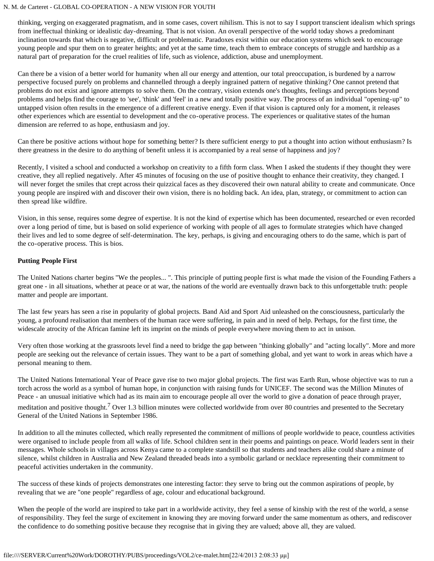thinking, verging on exaggerated pragmatism, and in some cases, covert nihilism. This is not to say I support transcient idealism which springs from ineffectual thinking or idealistic day-dreaming. That is not vision. An overall perspective of the world today shows a predominant inclination towards that which is negative, difficult or problematic. Paradoxes exist within our education systems which seek to encourage young people and spur them on to greater heights; and yet at the same time, teach them to embrace concepts of struggle and hardship as a natural part of preparation for the cruel realities of life, such as violence, addiction, abuse and unemployment.

Can there be a vision of a better world for humanity when all our energy and attention, our total preoccupation, is burdened by a narrow perspective focused purely on problems and channelled through a deeply ingrained pattern of negative thinking? One cannot pretend that problems do not exist and ignore attempts to solve them. On the contrary, vision extends one's thoughts, feelings and perceptions beyond problems and helps find the courage to 'see', 'think' and 'feel' in a new and totally positive way. The process of an individual "opening-up" to untapped vision often results in the emergence of a different creative energy. Even if that vision is captured only for a moment, it releases other experiences which are essential to development and the co-operative process. The experiences or qualitative states of the human dimension are referred to as hope, enthusiasm and joy.

Can there be positive actions without hope for something better? Is there sufficient energy to put a thought into action without enthusiasm? Is there greatness in the desire to do anything of benefit unless it is accompanied by a real sense of happiness and joy?

Recently, I visited a school and conducted a workshop on creativity to a fifth form class. When I asked the students if they thought they were creative, they all replied negatively. After 45 minutes of focusing on the use of positive thought to enhance their creativity, they changed. I will never forget the smiles that crept across their quizzical faces as they discovered their own natural ability to create and communicate. Once young people are inspired with and discover their own vision, there is no holding back. An idea, plan, strategy, or commitment to action can then spread like wildfire.

Vision, in this sense, requires some degree of expertise. It is not the kind of expertise which has been documented, researched or even recorded over a long period of time, but is based on solid experience of working with people of all ages to formulate strategies which have changed their lives and led to some degree of self-determination. The key, perhaps, is giving and encouraging others to do the same, which is part of the co-operative process. This is bios.

## **Putting People First**

The United Nations charter begins "We the peoples... ". This principle of putting people first is what made the vision of the Founding Fathers a great one - in all situations, whether at peace or at war, the nations of the world are eventually drawn back to this unforgettable truth: people matter and people are important.

The last few years has seen a rise in popularity of global projects. Band Aid and Sport Aid unleashed on the consciousness, particularly the young, a profound realisation that members of the human race were suffering, in pain and in need of help. Perhaps, for the first time, the widescale atrocity of the African famine left its imprint on the minds of people everywhere moving them to act in unison.

Very often those working at the grassroots level find a need to bridge the gap between "thinking globally" and "acting locally". More and more people are seeking out the relevance of certain issues. They want to be a part of something global, and yet want to work in areas which have a personal meaning to them.

The United Nations International Year of Peace gave rise to two major global projects. The first was Earth Run, whose objective was to run a torch across the world as a symbol of human hope, in conjunction with raising funds for UNICEF. The second was the Million Minutes of Peace - an unusual initiative which had as its main aim to encourage people all over the world to give a donation of peace through prayer, meditation and positive thought.<sup>7</sup> Over 1.3 billion minutes were collected worldwide from over 80 countries and presented to the Secretary General of the United Nations in September 1986.

In addition to all the minutes collected, which really represented the commitment of millions of people worldwide to peace, countless activities were organised to include people from all walks of life. School children sent in their poems and paintings on peace. World leaders sent in their messages. Whole schools in villages across Kenya came to a complete standstill so that students and teachers alike could share a minute of silence, whilst children in Australia and New Zealand threaded beads into a symbolic garland or necklace representing their commitment to peaceful activities undertaken in the community.

The success of these kinds of projects demonstrates one interesting factor: they serve to bring out the common aspirations of people, by revealing that we are "one people" regardless of age, colour and educational background.

When the people of the world are inspired to take part in a worldwide activity, they feel a sense of kinship with the rest of the world, a sense of responsibility. They feel the surge of excitement in knowing they are moving forward under the same momentum as others, and rediscover the confidence to do something positive because they recognise that in giving they are valued; above all, they are valued.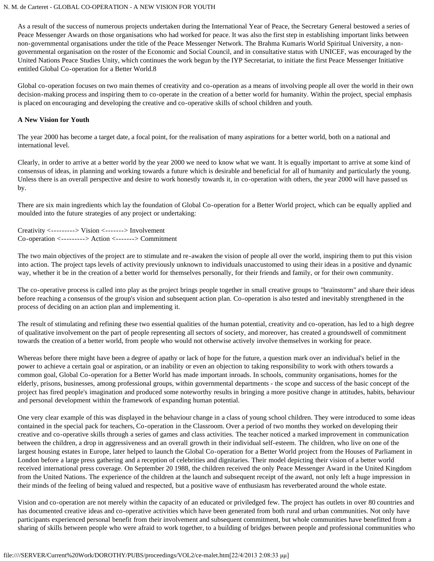As a result of the success of numerous projects undertaken during the International Year of Peace, the Secretary General bestowed a series of Peace Messenger Awards on those organisations who had worked for peace. It was also the first step in establishing important links between non-governmental organisations under the title of the Peace Messenger Network. The Brahma Kumaris World Spiritual University, a nongovernmental organisation on the roster of the Economic and Social Council, and in consultative status with UNICEF, was encouraged by the United Nations Peace Studies Unity, which continues the work begun by the IYP Secretariat, to initiate the first Peace Messenger Initiative entitled Global Co-operation for a Better World.8

Global co-operation focuses on two main themes of creativity and co-operation as a means of involving people all over the world in their own decision-making process and inspiring them to co-operate in the creation of a better world for humanity. Within the project, special emphasis is placed on encouraging and developing the creative and co-operative skills of school children and youth.

#### **A New Vision for Youth**

The year 2000 has become a target date, a focal point, for the realisation of many aspirations for a better world, both on a national and international level.

Clearly, in order to arrive at a better world by the year 2000 we need to know what we want. It is equally important to arrive at some kind of consensus of ideas, in planning and working towards a future which is desirable and beneficial for all of humanity and particularly the young. Unless there is an overall perspective and desire to work honestly towards it, in co-operation with others, the year 2000 will have passed us by.

There are six main ingredients which lay the foundation of Global Co-operation for a Better World project, which can be equally applied and moulded into the future strategies of any project or undertaking:

Creativity <---------> Vision <-------> Involvement Co-operation <---------> Action <-------> Commitment

The two main objectives of the project are to stimulate and re-awaken the vision of people all over the world, inspiring them to put this vision into action. The project taps levels of activity previously unknown to individuals unaccustomed to using their ideas in a positive and dynamic way, whether it be in the creation of a better world for themselves personally, for their friends and family, or for their own community.

The co-operative process is called into play as the project brings people together in small creative groups to "brainstorm" and share their ideas before reaching a consensus of the group's vision and subsequent action plan. Co-operation is also tested and inevitably strengthened in the process of deciding on an action plan and implementing it.

The result of stimulating and refining these two essential qualities of the human potential, creativity and co-operation, has led to a high degree of qualitative involvement on the part of people representing all sectors of society, and moreover, has created a groundswell of commitment towards the creation of a better world, from people who would not otherwise actively involve themselves in working for peace.

Whereas before there might have been a degree of apathy or lack of hope for the future, a question mark over an individual's belief in the power to achieve a certain goal or aspiration, or an inability or even an objection to taking responsibility to work with others towards a common goal, Global Co-operation for a Better World has made important inroads. In schools, community organisations, homes for the elderly, prisons, businesses, among professional groups, within governmental departments - the scope and success of the basic concept of the project has fired people's imagination and produced some noteworthy results in bringing a more positive change in attitudes, habits, behaviour and personal development within the framework of expanding human potential.

One very clear example of this was displayed in the behaviour change in a class of young school children. They were introduced to some ideas contained in the special pack for teachers, Co-operation in the Classroom. Over a period of two months they worked on developing their creative and co-operative skills through a series of games and class activities. The teacher noticed a marked improvement in communication between the children, a drop in aggressiveness and an overall growth in their individual self-esteem. The children, who live on one of the largest housing estates in Europe, later helped to launch the Global Co-operation for a Better World project from the Houses of Parliament in London before a large press gathering and a reception of celebrities and dignitaries. Their model depicting their vision of a better world received international press coverage. On September 20 1988, the children received the only Peace Messenger Award in the United Kingdom from the United Nations. The experience of the children at the launch and subsequent receipt of the award, not only left a huge impression in their minds of the feeling of being valued and respected, but a positive wave of enthusiasm has reverberated around the whole estate.

Vision and co-operation are not merely within the capacity of an educated or priviledged few. The project has outlets in over 80 countries and has documented creative ideas and co-operative activities which have been generated from both rural and urban communities. Not only have participants experienced personal benefit from their involvement and subsequent commitment, but whole communities have benefitted from a sharing of skills between people who were afraid to work together, to a building of bridges between people and professional communities who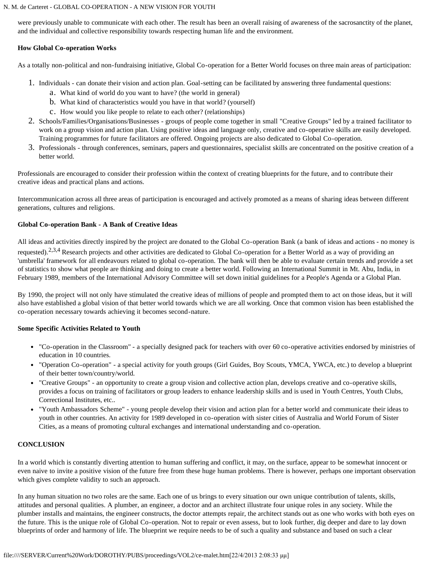were previously unable to communicate with each other. The result has been an overall raising of awareness of the sacrosanctity of the planet, and the individual and collective responsibility towards respecting human life and the environment.

#### **How Global Co-operation Works**

As a totally non-political and non-fundraising initiative, Global Co-operation for a Better World focuses on three main areas of participation:

- 1. Individuals can donate their vision and action plan. Goal-setting can be facilitated by answering three fundamental questions:
	- a. What kind of world do you want to have? (the world in general)
	- b. What kind of characteristics would you have in that world? (yourself)
	- c. How would you like people to relate to each other? (relationships)
- 2. Schools/Families/Organisations/Businesses groups of people come together in small "Creative Groups" led by a trained facilitator to work on a group vision and action plan. Using positive ideas and language only, creative and co-operative skills are easily developed. Training programmes for future facilitators are offered. Ongoing projects are also dedicated to Global Co-operation.
- 3. Professionals through conferences, seminars, papers and questionnaires, specialist skills are concentrated on the positive creation of a better world.

Professionals are encouraged to consider their profession within the context of creating blueprints for the future, and to contribute their creative ideas and practical plans and actions.

Intercommunication across all three areas of participation is encouraged and actively promoted as a means of sharing ideas between different generations, cultures and religions.

## **Global Co-operation Bank - A Bank of Creative Ideas**

All ideas and activities directly inspired by the project are donated to the Global Co-operation Bank (a bank of ideas and actions - no money is requested).<sup>2,3,4</sup> Research projects and other activities are dedicated to Global Co-operation for a Better World as a way of providing an 'umbrella' framework for all endeavours related to global co-operation. The bank will then be able to evaluate certain trends and provide a set of statistics to show what people are thinking and doing to create a better world. Following an International Summit in Mt. Abu, India, in February 1989, members of the International Advisory Committee will set down initial guidelines for a People's Agenda or a Global Plan.

By 1990, the project will not only have stimulated the creative ideas of millions of people and prompted them to act on those ideas, but it will also have established a global vision of that better world towards which we are all working. Once that common vision has been established the co-operation necessary towards achieving it becomes second-nature.

## **Some Specific Activities Related to Youth**

- "Co-operation in the Classroom" a specially designed pack for teachers with over 60 co-operative activities endorsed by ministries of education in 10 countries.
- "Operation Co-operation" a special activity for youth groups (Girl Guides, Boy Scouts, YMCA, YWCA, etc.) to develop a blueprint of their better town/country/world.
- "Creative Groups" an opportunity to create a group vision and collective action plan, develops creative and co-operative skills, provides a focus on training of facilitators or group leaders to enhance leadership skills and is used in Youth Centres, Youth Clubs, Correctional Institutes, etc..
- "Youth Ambassadors Scheme" young people develop their vision and action plan for a better world and communicate their ideas to youth in other countries. An activity for 1989 developed in co-operation with sister cities of Australia and World Forum of Sister Cities, as a means of promoting cultural exchanges and international understanding and co-operation.

## **CONCLUSION**

In a world which is constantly diverting attention to human suffering and conflict, it may, on the surface, appear to be somewhat innocent or even naive to invite a positive vision of the future free from these huge human problems. There is however, perhaps one important observation which gives complete validity to such an approach.

In any human situation no two roles are the same. Each one of us brings to every situation our own unique contribution of talents, skills, attitudes and personal qualities. A plumber, an engineer, a doctor and an architect illustrate four unique roles in any society. While the plumber installs and maintains, the engineer constructs, the doctor attempts repair, the architect stands out as one who works with both eyes on the future. This is the unique role of Global Co-operation. Not to repair or even assess, but to look further, dig deeper and dare to lay down blueprints of order and harmony of life. The blueprint we require needs to be of such a quality and substance and based on such a clear